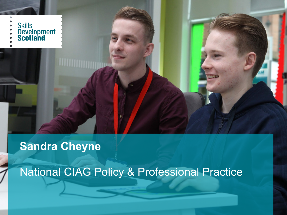

### **Sandra Cheyne**

National CIAG Policy & Professional Practice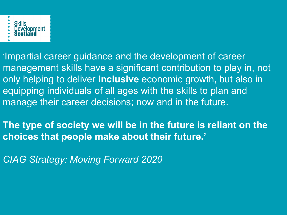

'Impartial career guidance and the development of career management skills have a significant contribution to play in, not only helping to deliver **inclusive** economic growth, but also in equipping individuals of all ages with the skills to plan and manage their career decisions; now and in the future.

**The type of society we will be in the future is reliant on the choices that people make about their future.'**

*CIAG Strategy: Moving Forward 2020*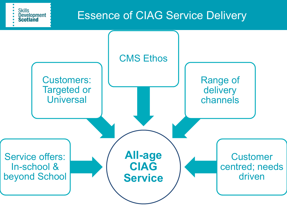Essence of CIAG Service Delivery

**Skills** 

**Development Scotland** 

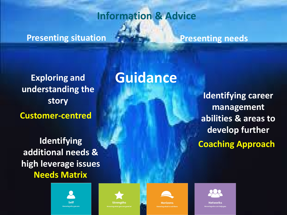### **Presenting situation Presenting needs**

**Exploring and understanding the story Customer-centred**

**Identifying additional needs & high leverage issues Needs Matrix**

## **Guidance**

**Information & Advice**

**Identifying career management abilities & areas to develop further Coaching Approach**











**Networks**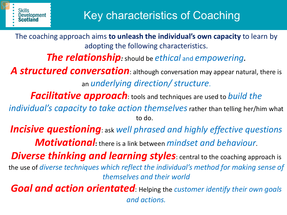The coaching approach aims **to unleash the individual's own capacity** to learn by adopting the following characteristics.

*The relationship:* should be *ethical* and *empowering.*

A **structured conversation**: although conversation may appear natural, there is an *underlying direction/ structure*.

*Facilitative approach*: tools and techniques are used to *build the* 

*individual's capacity to take action themselves* rather than telling her/him what to do.

*Incisive questioning*: ask *well phrased and highly effective questions Motivational***:** there is a link between *mindset and behaviour*.

*Diverse thinking and learning styles: central to the coaching approach is* the use of *diverse techniques which reflect the individual's method for making sense of themselves and their world*

*Goal and action orientated*: Helping the *customer identify their own goals and actions.*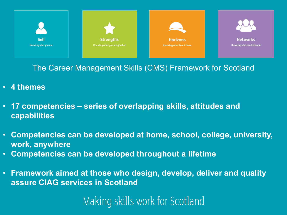

The Career Management Skills (CMS) Framework for Scotland

- **4 themes**
- **17 competencies – series of overlapping skills, attitudes and capabilities**
- **Competencies can be developed at home, school, college, university, work, anywhere**
- **Competencies can be developed throughout a lifetime**
- **Framework aimed at those who design, develop, deliver and quality assure CIAG services in Scotland**

Making skills work for Scotland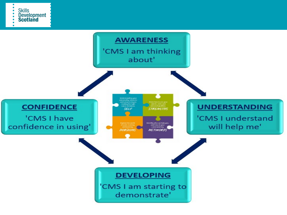

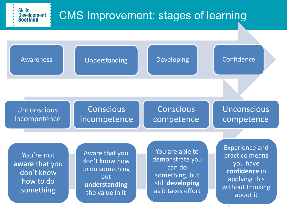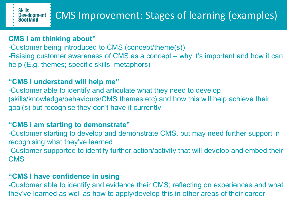#### **CMS I am thinking about"**

-Customer being introduced to CMS (concept/theme(s)) -Raising customer awareness of CMS as a concept – why it's important and how it can help (E.g. themes; specific skills; metaphors)

#### **"CMS I understand will help me"**

-Customer able to identify and articulate what they need to develop (skills/knowledge/behaviours/CMS themes etc) and how this will help achieve their goal(s) but recognise they don't have it currently

#### **"CMS I am starting to demonstrate"**

-Customer starting to develop and demonstrate CMS, but may need further support in recognising what they've learned

-Customer supported to identify further action/activity that will develop and embed their **CMS** 

#### **"CMS I have confidence in using**

-Customer able to identify and evidence their CMS; reflecting on experiences and what they've learned as well as how to apply/develop this in other areas of their career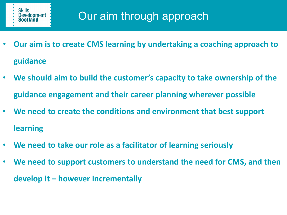

- **Our aim is to create CMS learning by undertaking a coaching approach to guidance**
- **We should aim to build the customer's capacity to take ownership of the guidance engagement and their career planning wherever possible**
- **We need to create the conditions and environment that best support learning**
- **We need to take our role as a facilitator of learning seriously**
- **We need to support customers to understand the need for CMS, and then develop it – however incrementally**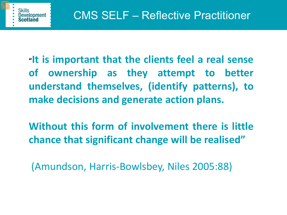**"It is important that the clients feel a real sense of ownership as they attempt to better understand themselves, (identify patterns), to make decisions and generate action plans.**

**Without this form of involvement there is little chance that significant change will be realised"**

(Amundson, Harris-Bowlsbey, Niles 2005:88)